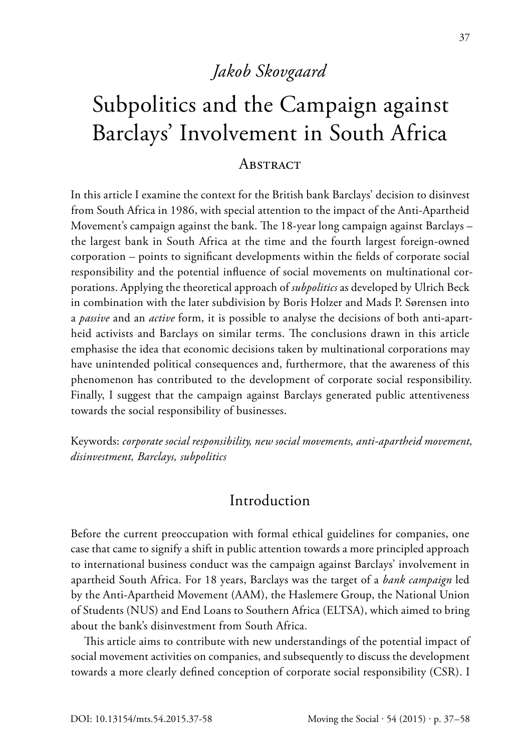# *Jakob Skovgaard*

# Subpolitics and the Campaign against Barclays' Involvement in South Africa

#### **ABSTRACT**

In this article I examine the context for the British bank Barclays' decision to disinvest from South Africa in 1986, with special attention to the impact of the Anti-Apartheid Movement's campaign against the bank. The 18-year long campaign against Barclays – the largest bank in South Africa at the time and the fourth largest foreign-owned corporation – points to significant developments within the fields of corporate social responsibility and the potential influence of social movements on multinational corporations. Applying the theoretical approach of *subpolitics* as developed by Ulrich Beck in combination with the later subdivision by Boris Holzer and Mads P. Sørensen into a *passive* and an *active* form, it is possible to analyse the decisions of both anti-apartheid activists and Barclays on similar terms. The conclusions drawn in this article emphasise the idea that economic decisions taken by multinational corporations may have unintended political consequences and, furthermore, that the awareness of this phenomenon has contributed to the development of corporate social responsibility. Finally, I suggest that the campaign against Barclays generated public attentiveness towards the social responsibility of businesses.

Keywords: *corporate social responsibility, new social movements, anti-apartheid movement, disinvestment, Barclays, subpolitics*

#### **Introduction**

Before the current preoccupation with formal ethical guidelines for companies, one case that came to signify a shift in public attention towards a more principled approach to international business conduct was the campaign against Barclays' involvement in apartheid South Africa. For 18 years, Barclays was the target of a *bank campaign* led by the Anti-Apartheid Movement (AAM), the Haslemere Group, the National Union of Students (NUS) and End Loans to Southern Africa (ELTSA), which aimed to bring about the bank's disinvestment from South Africa.

This article aims to contribute with new understandings of the potential impact of social movement activities on companies, and subsequently to discuss the development towards a more clearly defined conception of corporate social responsibility (CSR). I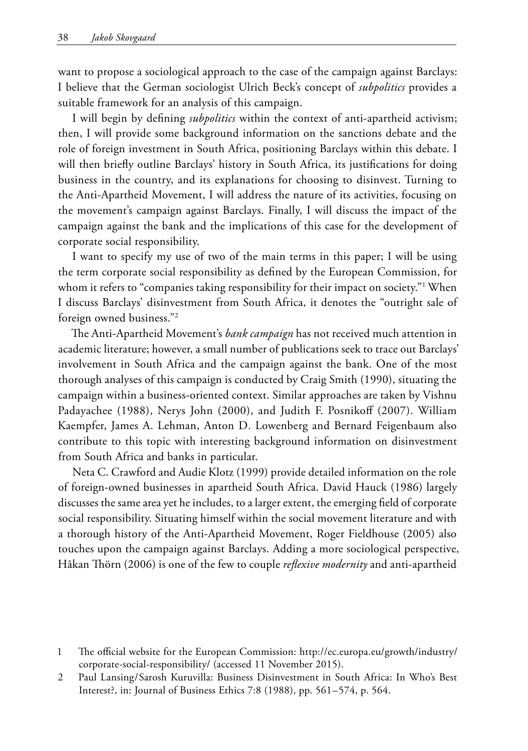want to propose a sociological approach to the case of the campaign against Barclays: I believe that the German sociologist Ulrich Beck's concept of *subpolitics* provides a suitable framework for an analysis of this campaign.

I will begin by defining *subpolitics* within the context of anti-apartheid activism; then, I will provide some background information on the sanctions debate and the role of foreign investment in South Africa, positioning Barclays within this debate. I will then briefly outline Barclays' history in South Africa, its justifications for doing business in the country, and its explanations for choosing to disinvest. Turning to the Anti-Apartheid Movement, I will address the nature of its activities, focusing on the movement's campaign against Barclays. Finally, I will discuss the impact of the campaign against the bank and the implications of this case for the development of corporate social responsibility.

I want to specify my use of two of the main terms in this paper; I will be using the term corporate social responsibility as defined by the European Commission, for whom it refers to "companies taking responsibility for their impact on society."1 When I discuss Barclays' disinvestment from South Africa, it denotes the "outright sale of foreign owned business."2

The Anti-Apartheid Movement's *bank campaign* has not received much attention in academic literature; however, a small number of publications seek to trace out Barclays' involvement in South Africa and the campaign against the bank. One of the most thorough analyses of this campaign is conducted by Craig Smith (1990), situating the campaign within a business-oriented context. Similar approaches are taken by Vishnu Padayachee (1988), Nerys John (2000), and Judith F. Posnikoff (2007). William Kaempfer, James A. Lehman, Anton D. Lowenberg and Bernard Feigenbaum also contribute to this topic with interesting background information on disinvestment from South Africa and banks in particular.

Neta C. Crawford and Audie Klotz (1999) provide detailed information on the role of foreign-owned businesses in apartheid South Africa. David Hauck (1986) largely discusses the same area yet he includes, to a larger extent, the emerging field of corporate social responsibility. Situating himself within the social movement literature and with a thorough history of the Anti-Apartheid Movement, Roger Fieldhouse (2005) also touches upon the campaign against Barclays. Adding a more sociological perspective, Håkan Thörn (2006) is one of the few to couple *reflexive modernity* and anti-apartheid

<sup>1</sup> The official website for the European Commission: http://ec.europa.eu/growth/industry/ corporate-social-responsibility/ (accessed 11 November 2015).

<sup>2</sup> Paul Lansing/Sarosh Kuruvilla: Business Disinvestment in South Africa: In Who's Best Interest?, in: Journal of Business Ethics 7:8 (1988), pp. 561–574, p. 564.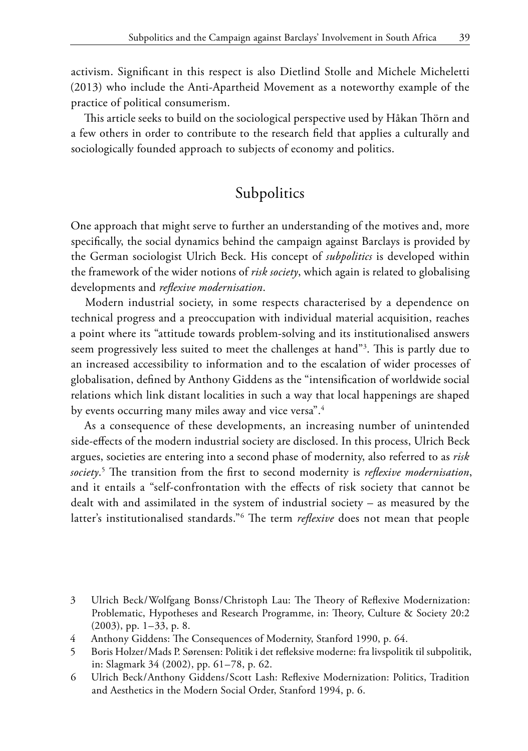activism. Significant in this respect is also Dietlind Stolle and Michele Micheletti (2013) who include the Anti-Apartheid Movement as a noteworthy example of the practice of political consumerism.

This article seeks to build on the sociological perspective used by Håkan Thörn and a few others in order to contribute to the research field that applies a culturally and sociologically founded approach to subjects of economy and politics.

## Subpolitics

One approach that might serve to further an understanding of the motives and, more specifically, the social dynamics behind the campaign against Barclays is provided by the German sociologist Ulrich Beck. His concept of *subpolitics* is developed within the framework of the wider notions of *risk society*, which again is related to globalising developments and *reflexive modernisation*.

Modern industrial society, in some respects characterised by a dependence on technical progress and a preoccupation with individual material acquisition, reaches a point where its "attitude towards problem-solving and its institutionalised answers seem progressively less suited to meet the challenges at hand"3 . This is partly due to an increased accessibility to information and to the escalation of wider processes of globalisation, defined by Anthony Giddens as the "intensification of worldwide social relations which link distant localities in such a way that local happenings are shaped by events occurring many miles away and vice versa".<sup>4</sup>

As a consequence of these developments, an increasing number of unintended side-effects of the modern industrial society are disclosed. In this process, Ulrich Beck argues, societies are entering into a second phase of modernity, also referred to as *risk society*. 5 The transition from the first to second modernity is *reflexive modernisation*, and it entails a "self-confrontation with the effects of risk society that cannot be dealt with and assimilated in the system of industrial society – as measured by the latter's institutionalised standards."6 The term *reflexive* does not mean that people

<sup>3</sup> Ulrich Beck/Wolfgang Bonss/Christoph Lau: The Theory of Reflexive Modernization: Problematic, Hypotheses and Research Programme, in: Theory, Culture & Society 20:2 (2003), pp. 1–33, p. 8.

<sup>4</sup> Anthony Giddens: The Consequences of Modernity, Stanford 1990, p. 64.

<sup>5</sup> Boris Holzer/Mads P. Sørensen: Politik i det refleksive moderne: fra livspolitik til subpolitik, in: Slagmark 34 (2002), pp. 61–78, p. 62.

<sup>6</sup> Ulrich Beck/Anthony Giddens/Scott Lash: Reflexive Modernization: Politics, Tradition and Aesthetics in the Modern Social Order, Stanford 1994, p. 6.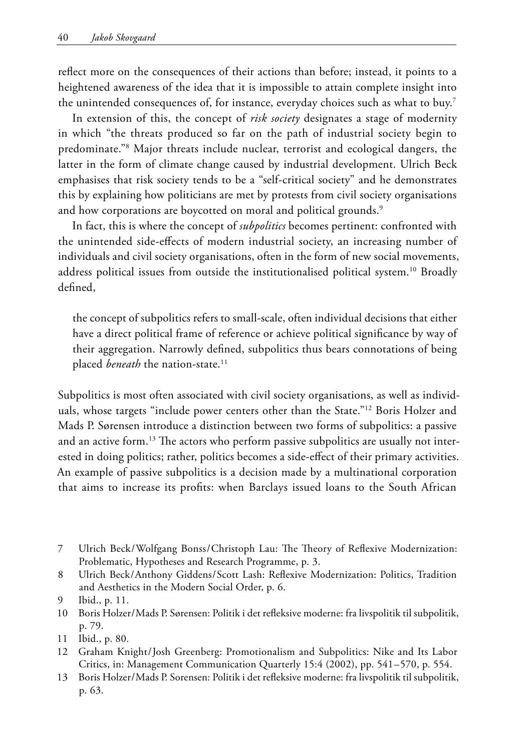reflect more on the consequences of their actions than before; instead, it points to a heightened awareness of the idea that it is impossible to attain complete insight into the unintended consequences of, for instance, everyday choices such as what to buy.<sup>7</sup>

In extension of this, the concept of *risk society* designates a stage of modernity in which "the threats produced so far on the path of industrial society begin to predominate."8 Major threats include nuclear, terrorist and ecological dangers, the latter in the form of climate change caused by industrial development. Ulrich Beck emphasises that risk society tends to be a "self-critical society" and he demonstrates this by explaining how politicians are met by protests from civil society organisations and how corporations are boycotted on moral and political grounds.<sup>9</sup>

In fact, this is where the concept of *subpolitics* becomes pertinent: confronted with the unintended side-effects of modern industrial society, an increasing number of individuals and civil society organisations, often in the form of new social movements, address political issues from outside the institutionalised political system.<sup>10</sup> Broadly defined,

the concept of subpolitics refers to small-scale, often individual decisions that either have a direct political frame of reference or achieve political significance by way of their aggregation. Narrowly defined, subpolitics thus bears connotations of being placed *beneath* the nation-state.<sup>11</sup>

Subpolitics is most often associated with civil society organisations, as well as individuals, whose targets "include power centers other than the State."12 Boris Holzer and Mads P. Sørensen introduce a distinction between two forms of subpolitics: a passive and an active form.<sup>13</sup> The actors who perform passive subpolitics are usually not interested in doing politics; rather, politics becomes a side-effect of their primary activities. An example of passive subpolitics is a decision made by a multinational corporation that aims to increase its profits: when Barclays issued loans to the South African

- 7 Ulrich Beck/Wolfgang Bonss/Christoph Lau: The Theory of Reflexive Modernization: Problematic, Hypotheses and Research Programme, p. 3.
- 8 Ulrich Beck/Anthony Giddens/Scott Lash: Reflexive Modernization: Politics, Tradition and Aesthetics in the Modern Social Order, p. 6.

- 10 Boris Holzer/Mads P. Sørensen: Politik i det refleksive moderne: fra livspolitik til subpolitik, p. 79.
- 11 Ibid., p. 80.
- 12 Graham Knight/Josh Greenberg: Promotionalism and Subpolitics: Nike and Its Labor Critics, in: Management Communication Quarterly 15:4 (2002), pp. 541–570, p. 554.
- 13 Boris Holzer/Mads P. Sorensen: Politik i det refleksive moderne: fra livspolitik til subpolitik, p. 63.

<sup>9</sup> Ibid., p. 11.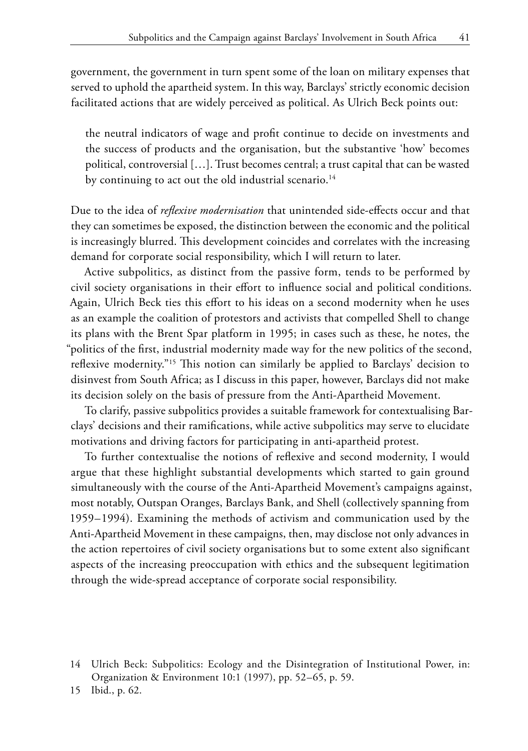government, the government in turn spent some of the loan on military expenses that served to uphold the apartheid system. In this way, Barclays' strictly economic decision facilitated actions that are widely perceived as political. As Ulrich Beck points out:

the neutral indicators of wage and profit continue to decide on investments and the success of products and the organisation, but the substantive 'how' becomes political, controversial […]. Trust becomes central; a trust capital that can be wasted by continuing to act out the old industrial scenario.<sup>14</sup>

Due to the idea of *reflexive modernisation* that unintended side-effects occur and that they can sometimes be exposed, the distinction between the economic and the political is increasingly blurred. This development coincides and correlates with the increasing demand for corporate social responsibility, which I will return to later.

Active subpolitics, as distinct from the passive form, tends to be performed by civil society organisations in their effort to influence social and political conditions. Again, Ulrich Beck ties this effort to his ideas on a second modernity when he uses as an example the coalition of protestors and activists that compelled Shell to change its plans with the Brent Spar platform in 1995; in cases such as these, he notes, the "politics of the first, industrial modernity made way for the new politics of the second, reflexive modernity."15 This notion can similarly be applied to Barclays' decision to disinvest from South Africa; as I discuss in this paper, however, Barclays did not make its decision solely on the basis of pressure from the Anti-Apartheid Movement.

To clarify, passive subpolitics provides a suitable framework for contextualising Barclays' decisions and their ramifications, while active subpolitics may serve to elucidate motivations and driving factors for participating in anti-apartheid protest.

To further contextualise the notions of reflexive and second modernity, I would argue that these highlight substantial developments which started to gain ground simultaneously with the course of the Anti-Apartheid Movement's campaigns against, most notably, Outspan Oranges, Barclays Bank, and Shell (collectively spanning from 1959–1994). Examining the methods of activism and communication used by the Anti-Apartheid Movement in these campaigns, then, may disclose not only advances in the action repertoires of civil society organisations but to some extent also significant aspects of the increasing preoccupation with ethics and the subsequent legitimation through the wide-spread acceptance of corporate social responsibility.

15 Ibid., p. 62.

<sup>14</sup> Ulrich Beck: Subpolitics: Ecology and the Disintegration of Institutional Power, in: Organization & Environment 10:1 (1997), pp. 52–65, p. 59.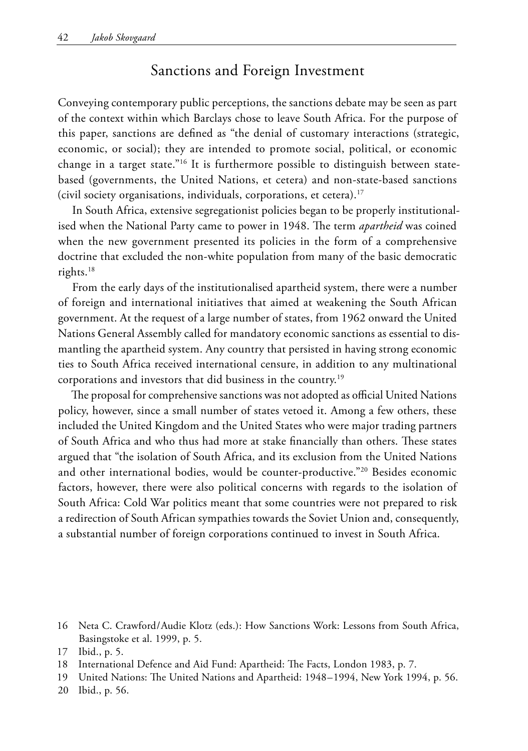## Sanctions and Foreign Investment

Conveying contemporary public perceptions, the sanctions debate may be seen as part of the context within which Barclays chose to leave South Africa. For the purpose of this paper, sanctions are defined as "the denial of customary interactions (strategic, economic, or social); they are intended to promote social, political, or economic change in a target state."16 It is furthermore possible to distinguish between statebased (governments, the United Nations, et cetera) and non-state-based sanctions (civil society organisations, individuals, corporations, et cetera).17

In South Africa, extensive segregationist policies began to be properly institutionalised when the National Party came to power in 1948. The term *apartheid* was coined when the new government presented its policies in the form of a comprehensive doctrine that excluded the non-white population from many of the basic democratic rights.18

From the early days of the institutionalised apartheid system, there were a number of foreign and international initiatives that aimed at weakening the South African government. At the request of a large number of states, from 1962 onward the United Nations General Assembly called for mandatory economic sanctions as essential to dismantling the apartheid system. Any country that persisted in having strong economic ties to South Africa received international censure, in addition to any multinational corporations and investors that did business in the country.19

The proposal for comprehensive sanctions was not adopted as official United Nations policy, however, since a small number of states vetoed it. Among a few others, these included the United Kingdom and the United States who were major trading partners of South Africa and who thus had more at stake financially than others. These states argued that "the isolation of South Africa, and its exclusion from the United Nations and other international bodies, would be counter-productive."20 Besides economic factors, however, there were also political concerns with regards to the isolation of South Africa: Cold War politics meant that some countries were not prepared to risk a redirection of South African sympathies towards the Soviet Union and, consequently, a substantial number of foreign corporations continued to invest in South Africa.

<sup>16</sup> Neta C. Crawford/Audie Klotz (eds.): How Sanctions Work: Lessons from South Africa, Basingstoke et al. 1999, p. 5.

<sup>17</sup> Ibid., p. 5.

<sup>18</sup> International Defence and Aid Fund: Apartheid: The Facts, London 1983, p. 7.

<sup>19</sup> United Nations: The United Nations and Apartheid: 1948–1994, New York 1994, p. 56.

<sup>20</sup> Ibid., p. 56.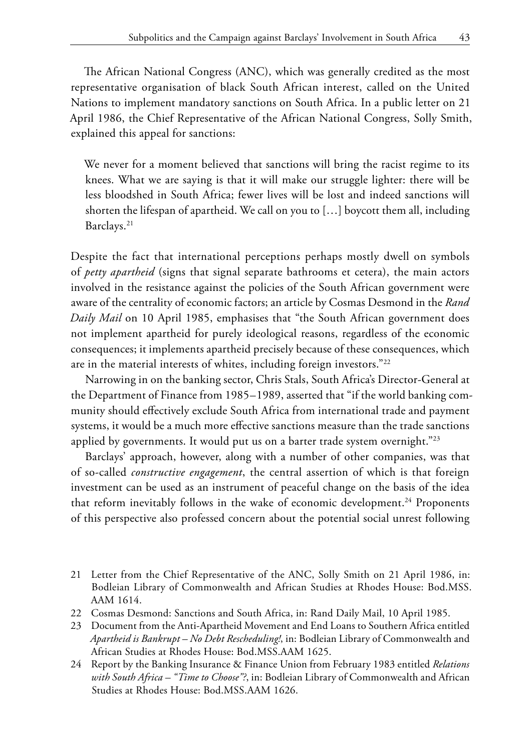The African National Congress (ANC), which was generally credited as the most representative organisation of black South African interest, called on the United Nations to implement mandatory sanctions on South Africa. In a public letter on 21 April 1986, the Chief Representative of the African National Congress, Solly Smith, explained this appeal for sanctions:

We never for a moment believed that sanctions will bring the racist regime to its knees. What we are saying is that it will make our struggle lighter: there will be less bloodshed in South Africa; fewer lives will be lost and indeed sanctions will shorten the lifespan of apartheid. We call on you to […] boycott them all, including Barclays.21

Despite the fact that international perceptions perhaps mostly dwell on symbols of *petty apartheid* (signs that signal separate bathrooms et cetera), the main actors involved in the resistance against the policies of the South African government were aware of the centrality of economic factors; an article by Cosmas Desmond in the *Rand Daily Mail* on 10 April 1985, emphasises that "the South African government does not implement apartheid for purely ideological reasons, regardless of the economic consequences; it implements apartheid precisely because of these consequences, which are in the material interests of whites, including foreign investors."22

Narrowing in on the banking sector, Chris Stals, South Africa's Director-General at the Department of Finance from 1985–1989, asserted that "if the world banking community should effectively exclude South Africa from international trade and payment systems, it would be a much more effective sanctions measure than the trade sanctions applied by governments. It would put us on a barter trade system overnight."<sup>23</sup>

Barclays' approach, however, along with a number of other companies, was that of so-called *constructive engagement*, the central assertion of which is that foreign investment can be used as an instrument of peaceful change on the basis of the idea that reform inevitably follows in the wake of economic development.<sup>24</sup> Proponents of this perspective also professed concern about the potential social unrest following

- 21 Letter from the Chief Representative of the ANC, Solly Smith on 21 April 1986, in: Bodleian Library of Commonwealth and African Studies at Rhodes House: Bod.MSS. AAM 1614.
- 22 Cosmas Desmond: Sanctions and South Africa, in: Rand Daily Mail, 10 April 1985.
- 23 Document from the Anti-Apartheid Movement and End Loans to Southern Africa entitled *Apartheid is Bankrupt – No Debt Rescheduling!*, in: Bodleian Library of Commonwealth and African Studies at Rhodes House: Bod.MSS.AAM 1625.
- 24 Report by the Banking Insurance & Finance Union from February 1983 entitled *Relations with South Africa – "Time to Choose"?*, in: Bodleian Library of Commonwealth and African Studies at Rhodes House: Bod.MSS.AAM 1626.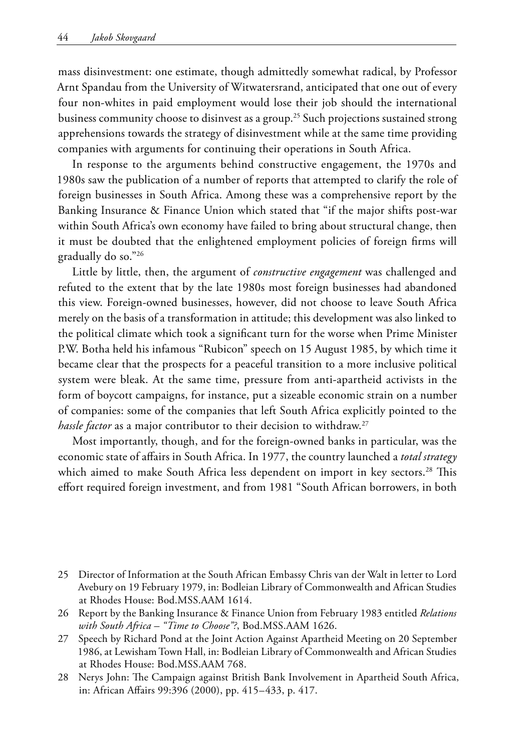mass disinvestment: one estimate, though admittedly somewhat radical, by Professor Arnt Spandau from the University of Witwatersrand, anticipated that one out of every four non-whites in paid employment would lose their job should the international business community choose to disinvest as a group.<sup>25</sup> Such projections sustained strong apprehensions towards the strategy of disinvestment while at the same time providing companies with arguments for continuing their operations in South Africa.

In response to the arguments behind constructive engagement, the 1970s and 1980s saw the publication of a number of reports that attempted to clarify the role of foreign businesses in South Africa. Among these was a comprehensive report by the Banking Insurance & Finance Union which stated that "if the major shifts post-war within South Africa's own economy have failed to bring about structural change, then it must be doubted that the enlightened employment policies of foreign firms will gradually do so."26

Little by little, then, the argument of *constructive engagement* was challenged and refuted to the extent that by the late 1980s most foreign businesses had abandoned this view. Foreign-owned businesses, however, did not choose to leave South Africa merely on the basis of a transformation in attitude; this development was also linked to the political climate which took a significant turn for the worse when Prime Minister P.W. Botha held his infamous "Rubicon" speech on 15 August 1985, by which time it became clear that the prospects for a peaceful transition to a more inclusive political system were bleak. At the same time, pressure from anti-apartheid activists in the form of boycott campaigns, for instance, put a sizeable economic strain on a number of companies: some of the companies that left South Africa explicitly pointed to the *hassle factor* as a major contributor to their decision to withdraw.27

Most importantly, though, and for the foreign-owned banks in particular, was the economic state of affairs in South Africa. In 1977, the country launched a *total strategy* which aimed to make South Africa less dependent on import in key sectors.<sup>28</sup> This effort required foreign investment, and from 1981 "South African borrowers, in both

- 25 Director of Information at the South African Embassy Chris van der Walt in letter to Lord Avebury on 19 February 1979, in: Bodleian Library of Commonwealth and African Studies at Rhodes House: Bod.MSS.AAM 1614.
- 26 Report by the Banking Insurance & Finance Union from February 1983 entitled *Relations with South Africa – "Time to Choose"?*, Bod.MSS.AAM 1626.
- 27 Speech by Richard Pond at the Joint Action Against Apartheid Meeting on 20 September 1986, at Lewisham Town Hall, in: Bodleian Library of Commonwealth and African Studies at Rhodes House: Bod.MSS.AAM 768.
- 28 Nerys John: The Campaign against British Bank Involvement in Apartheid South Africa, in: African Affairs 99:396 (2000), pp. 415–433, p. 417.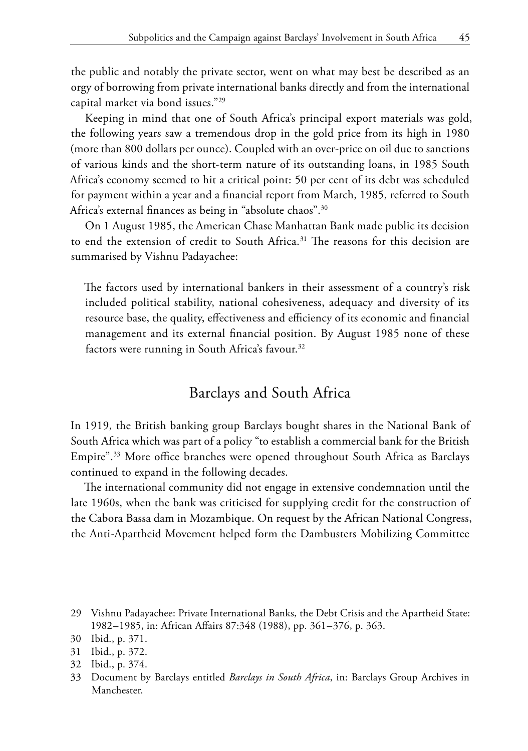the public and notably the private sector, went on what may best be described as an orgy of borrowing from private international banks directly and from the international capital market via bond issues."29

Keeping in mind that one of South Africa's principal export materials was gold, the following years saw a tremendous drop in the gold price from its high in 1980 (more than 800 dollars per ounce). Coupled with an over-price on oil due to sanctions of various kinds and the short-term nature of its outstanding loans, in 1985 South Africa's economy seemed to hit a critical point: 50 per cent of its debt was scheduled for payment within a year and a financial report from March, 1985, referred to South Africa's external finances as being in "absolute chaos".30

On 1 August 1985, the American Chase Manhattan Bank made public its decision to end the extension of credit to South Africa.31 The reasons for this decision are summarised by Vishnu Padayachee:

The factors used by international bankers in their assessment of a country's risk included political stability, national cohesiveness, adequacy and diversity of its resource base, the quality, effectiveness and efficiency of its economic and financial management and its external financial position. By August 1985 none of these factors were running in South Africa's favour.<sup>32</sup>

#### Barclays and South Africa

In 1919, the British banking group Barclays bought shares in the National Bank of South Africa which was part of a policy "to establish a commercial bank for the British Empire".33 More office branches were opened throughout South Africa as Barclays continued to expand in the following decades.

The international community did not engage in extensive condemnation until the late 1960s, when the bank was criticised for supplying credit for the construction of the Cabora Bassa dam in Mozambique. On request by the African National Congress, the Anti-Apartheid Movement helped form the Dambusters Mobilizing Committee

<sup>29</sup> Vishnu Padayachee: Private International Banks, the Debt Crisis and the Apartheid State: 1982–1985, in: African Affairs 87:348 (1988), pp. 361–376, p. 363.

<sup>30</sup> Ibid., p. 371.

<sup>31</sup> Ibid., p. 372.

<sup>32</sup> Ibid., p. 374.

<sup>33</sup> Document by Barclays entitled *Barclays in South Africa*, in: Barclays Group Archives in Manchester.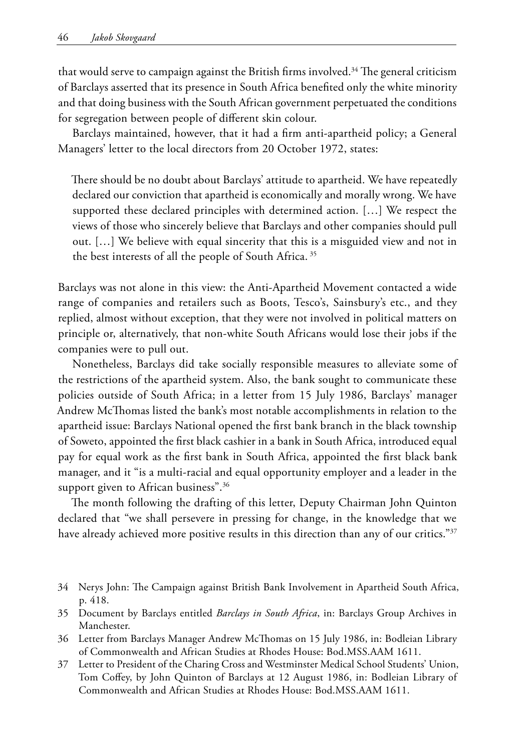that would serve to campaign against the British firms involved.<sup>34</sup> The general criticism of Barclays asserted that its presence in South Africa benefited only the white minority and that doing business with the South African government perpetuated the conditions for segregation between people of different skin colour.

Barclays maintained, however, that it had a firm anti-apartheid policy; a General Managers' letter to the local directors from 20 October 1972, states:

There should be no doubt about Barclays' attitude to apartheid. We have repeatedly declared our conviction that apartheid is economically and morally wrong. We have supported these declared principles with determined action. […] We respect the views of those who sincerely believe that Barclays and other companies should pull out. […] We believe with equal sincerity that this is a misguided view and not in the best interests of all the people of South Africa. 35

Barclays was not alone in this view: the Anti-Apartheid Movement contacted a wide range of companies and retailers such as Boots, Tesco's, Sainsbury's etc., and they replied, almost without exception, that they were not involved in political matters on principle or, alternatively, that non-white South Africans would lose their jobs if the companies were to pull out.

Nonetheless, Barclays did take socially responsible measures to alleviate some of the restrictions of the apartheid system. Also, the bank sought to communicate these policies outside of South Africa; in a letter from 15 July 1986, Barclays' manager Andrew McThomas listed the bank's most notable accomplishments in relation to the apartheid issue: Barclays National opened the first bank branch in the black township of Soweto, appointed the first black cashier in a bank in South Africa, introduced equal pay for equal work as the first bank in South Africa, appointed the first black bank manager, and it "is a multi-racial and equal opportunity employer and a leader in the support given to African business".<sup>36</sup>

The month following the drafting of this letter, Deputy Chairman John Quinton declared that "we shall persevere in pressing for change, in the knowledge that we have already achieved more positive results in this direction than any of our critics."<sup>37</sup>

- 34 Nerys John: The Campaign against British Bank Involvement in Apartheid South Africa, p. 418.
- 35 Document by Barclays entitled *Barclays in South Africa*, in: Barclays Group Archives in Manchester.
- 36 Letter from Barclays Manager Andrew McThomas on 15 July 1986, in: Bodleian Library of Commonwealth and African Studies at Rhodes House: Bod.MSS.AAM 1611.
- 37 Letter to President of the Charing Cross and Westminster Medical School Students' Union, Tom Coffey, by John Quinton of Barclays at 12 August 1986, in: Bodleian Library of Commonwealth and African Studies at Rhodes House: Bod.MSS.AAM 1611.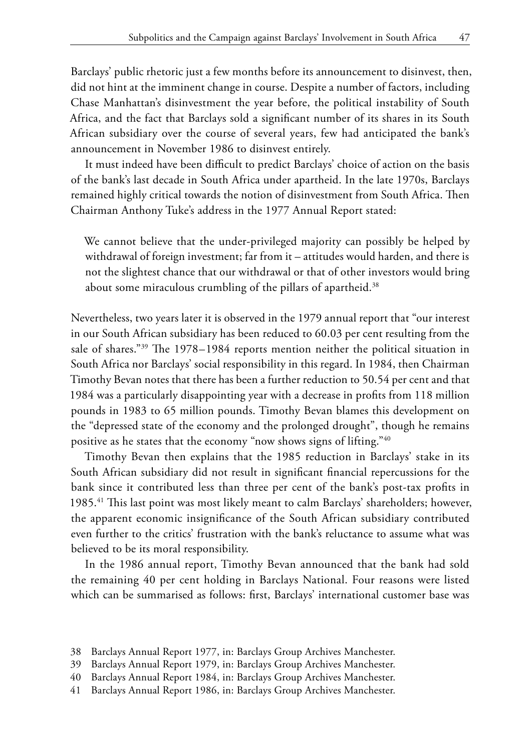Barclays' public rhetoric just a few months before its announcement to disinvest, then, did not hint at the imminent change in course. Despite a number of factors, including Chase Manhattan's disinvestment the year before, the political instability of South Africa, and the fact that Barclays sold a significant number of its shares in its South African subsidiary over the course of several years, few had anticipated the bank's announcement in November 1986 to disinvest entirely.

It must indeed have been difficult to predict Barclays' choice of action on the basis of the bank's last decade in South Africa under apartheid. In the late 1970s, Barclays remained highly critical towards the notion of disinvestment from South Africa. Then Chairman Anthony Tuke's address in the 1977 Annual Report stated:

We cannot believe that the under-privileged majority can possibly be helped by withdrawal of foreign investment; far from it – attitudes would harden, and there is not the slightest chance that our withdrawal or that of other investors would bring about some miraculous crumbling of the pillars of apartheid.<sup>38</sup>

Nevertheless, two years later it is observed in the 1979 annual report that "our interest in our South African subsidiary has been reduced to 60.03 per cent resulting from the sale of shares."39 The 1978–1984 reports mention neither the political situation in South Africa nor Barclays' social responsibility in this regard. In 1984, then Chairman Timothy Bevan notes that there has been a further reduction to 50.54 per cent and that 1984 was a particularly disappointing year with a decrease in profits from 118 million pounds in 1983 to 65 million pounds. Timothy Bevan blames this development on the "depressed state of the economy and the prolonged drought", though he remains positive as he states that the economy "now shows signs of lifting."40

Timothy Bevan then explains that the 1985 reduction in Barclays' stake in its South African subsidiary did not result in significant financial repercussions for the bank since it contributed less than three per cent of the bank's post-tax profits in 1985.41 This last point was most likely meant to calm Barclays' shareholders; however, the apparent economic insignificance of the South African subsidiary contributed even further to the critics' frustration with the bank's reluctance to assume what was believed to be its moral responsibility.

In the 1986 annual report, Timothy Bevan announced that the bank had sold the remaining 40 per cent holding in Barclays National. Four reasons were listed which can be summarised as follows: first, Barclays' international customer base was

<sup>38</sup> Barclays Annual Report 1977, in: Barclays Group Archives Manchester.

<sup>39</sup> Barclays Annual Report 1979, in: Barclays Group Archives Manchester.

<sup>40</sup> Barclays Annual Report 1984, in: Barclays Group Archives Manchester.

<sup>41</sup> Barclays Annual Report 1986, in: Barclays Group Archives Manchester.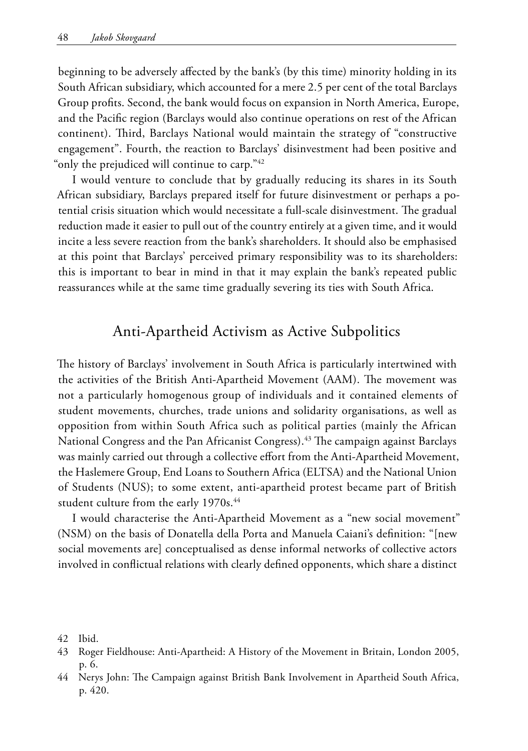beginning to be adversely affected by the bank's (by this time) minority holding in its South African subsidiary, which accounted for a mere 2.5 per cent of the total Barclays Group profits. Second, the bank would focus on expansion in North America, Europe, and the Pacific region (Barclays would also continue operations on rest of the African continent). Third, Barclays National would maintain the strategy of "constructive engagement". Fourth, the reaction to Barclays' disinvestment had been positive and "only the prejudiced will continue to carp."<sup>42</sup>

I would venture to conclude that by gradually reducing its shares in its South African subsidiary, Barclays prepared itself for future disinvestment or perhaps a potential crisis situation which would necessitate a full-scale disinvestment. The gradual reduction made it easier to pull out of the country entirely at a given time, and it would incite a less severe reaction from the bank's shareholders. It should also be emphasised at this point that Barclays' perceived primary responsibility was to its shareholders: this is important to bear in mind in that it may explain the bank's repeated public reassurances while at the same time gradually severing its ties with South Africa.

#### Anti-Apartheid Activism as Active Subpolitics

The history of Barclays' involvement in South Africa is particularly intertwined with the activities of the British Anti-Apartheid Movement (AAM). The movement was not a particularly homogenous group of individuals and it contained elements of student movements, churches, trade unions and solidarity organisations, as well as opposition from within South Africa such as political parties (mainly the African National Congress and the Pan Africanist Congress).43 The campaign against Barclays was mainly carried out through a collective effort from the Anti-Apartheid Movement, the Haslemere Group, End Loans to Southern Africa (ELTSA) and the National Union of Students (NUS); to some extent, anti-apartheid protest became part of British student culture from the early 1970s.<sup>44</sup>

I would characterise the Anti-Apartheid Movement as a "new social movement" (NSM) on the basis of Donatella della Porta and Manuela Caiani's definition: "[new social movements are] conceptualised as dense informal networks of collective actors involved in conflictual relations with clearly defined opponents, which share a distinct

- 42 Ibid.
- 43 Roger Fieldhouse: Anti-Apartheid: A History of the Movement in Britain, London 2005, p. 6.
- 44 Nerys John: The Campaign against British Bank Involvement in Apartheid South Africa, p. 420.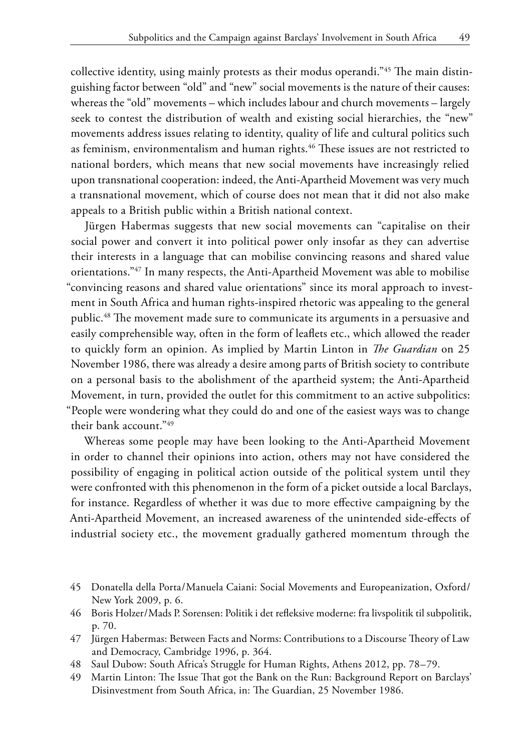collective identity, using mainly protests as their modus operandi."45 The main distinguishing factor between "old" and "new" social movements is the nature of their causes: whereas the "old" movements – which includes labour and church movements – largely seek to contest the distribution of wealth and existing social hierarchies, the "new" movements address issues relating to identity, quality of life and cultural politics such as feminism, environmentalism and human rights.<sup>46</sup> These issues are not restricted to national borders, which means that new social movements have increasingly relied upon transnational cooperation: indeed, the Anti-Apartheid Movement was very much a transnational movement, which of course does not mean that it did not also make appeals to a British public within a British national context.

Jürgen Habermas suggests that new social movements can "capitalise on their social power and convert it into political power only insofar as they can advertise their interests in a language that can mobilise convincing reasons and shared value orientations."47 In many respects, the Anti-Apartheid Movement was able to mobilise "convincing reasons and shared value orientations" since its moral approach to investment in South Africa and human rights-inspired rhetoric was appealing to the general public.<sup>48</sup> The movement made sure to communicate its arguments in a persuasive and easily comprehensible way, often in the form of leaflets etc., which allowed the reader to quickly form an opinion. As implied by Martin Linton in *The Guardian* on 25 November 1986, there was already a desire among parts of British society to contribute on a personal basis to the abolishment of the apartheid system; the Anti-Apartheid Movement, in turn, provided the outlet for this commitment to an active subpolitics: "People were wondering what they could do and one of the easiest ways was to change their bank account."49

Whereas some people may have been looking to the Anti-Apartheid Movement in order to channel their opinions into action, others may not have considered the possibility of engaging in political action outside of the political system until they were confronted with this phenomenon in the form of a picket outside a local Barclays, for instance. Regardless of whether it was due to more effective campaigning by the Anti-Apartheid Movement, an increased awareness of the unintended side-effects of industrial society etc., the movement gradually gathered momentum through the

- 45 Donatella della Porta/Manuela Caiani: Social Movements and Europeanization, Oxford/ New York 2009, p. 6.
- 46 Boris Holzer/Mads P. Sorensen: Politik i det refleksive moderne: fra livspolitik til subpolitik, p. 70.
- 47 Jürgen Habermas: Between Facts and Norms: Contributions to a Discourse Theory of Law and Democracy, Cambridge 1996, p. 364.
- 48 Saul Dubow: South Africa's Struggle for Human Rights, Athens 2012, pp. 78–79.
- 49 Martin Linton: The Issue That got the Bank on the Run: Background Report on Barclays' Disinvestment from South Africa, in: The Guardian, 25 November 1986.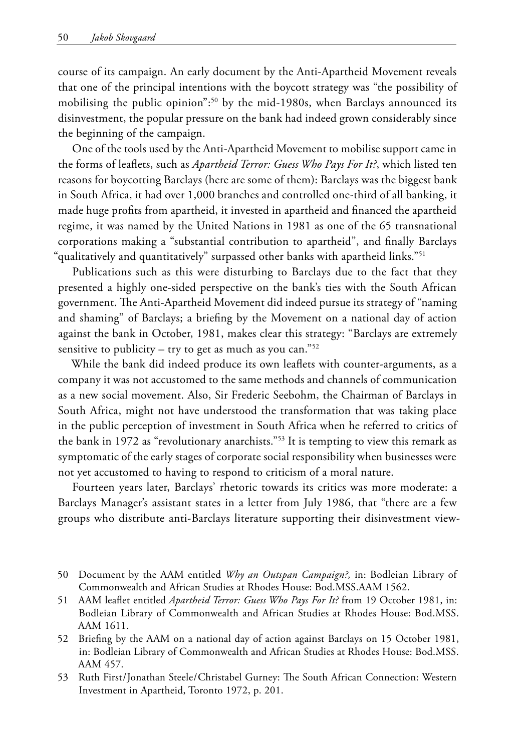course of its campaign. An early document by the Anti-Apartheid Movement reveals that one of the principal intentions with the boycott strategy was "the possibility of mobilising the public opinion":<sup>50</sup> by the mid-1980s, when Barclays announced its disinvestment, the popular pressure on the bank had indeed grown considerably since the beginning of the campaign.

One of the tools used by the Anti-Apartheid Movement to mobilise support came in the forms of leaflets, such as *Apartheid Terror: Guess Who Pays For It?*, which listed ten reasons for boycotting Barclays (here are some of them): Barclays was the biggest bank in South Africa, it had over 1,000 branches and controlled one-third of all banking, it made huge profits from apartheid, it invested in apartheid and financed the apartheid regime, it was named by the United Nations in 1981 as one of the 65 transnational corporations making a "substantial contribution to apartheid", and finally Barclays "qualitatively and quantitatively" surpassed other banks with apartheid links."51

Publications such as this were disturbing to Barclays due to the fact that they presented a highly one-sided perspective on the bank's ties with the South African government. The Anti-Apartheid Movement did indeed pursue its strategy of "naming and shaming" of Barclays; a briefing by the Movement on a national day of action against the bank in October, 1981, makes clear this strategy: "Barclays are extremely sensitive to publicity – try to get as much as you can."<sup>52</sup>

While the bank did indeed produce its own leaflets with counter-arguments, as a company it was not accustomed to the same methods and channels of communication as a new social movement. Also, Sir Frederic Seebohm, the Chairman of Barclays in South Africa, might not have understood the transformation that was taking place in the public perception of investment in South Africa when he referred to critics of the bank in 1972 as "revolutionary anarchists."53 It is tempting to view this remark as symptomatic of the early stages of corporate social responsibility when businesses were not yet accustomed to having to respond to criticism of a moral nature.

Fourteen years later, Barclays' rhetoric towards its critics was more moderate: a Barclays Manager's assistant states in a letter from July 1986, that "there are a few groups who distribute anti-Barclays literature supporting their disinvestment view-

- 50 Document by the AAM entitled *Why an Outspan Campaign?,* in: Bodleian Library of Commonwealth and African Studies at Rhodes House: Bod.MSS.AAM 1562.
- 51 AAM leaflet entitled *Apartheid Terror: Guess Who Pays For It?* from 19 October 1981, in: Bodleian Library of Commonwealth and African Studies at Rhodes House: Bod.MSS. AAM 1611.
- 52 Briefing by the AAM on a national day of action against Barclays on 15 October 1981, in: Bodleian Library of Commonwealth and African Studies at Rhodes House: Bod.MSS. AAM 457.
- 53 Ruth First/Jonathan Steele/Christabel Gurney: The South African Connection: Western Investment in Apartheid, Toronto 1972, p. 201.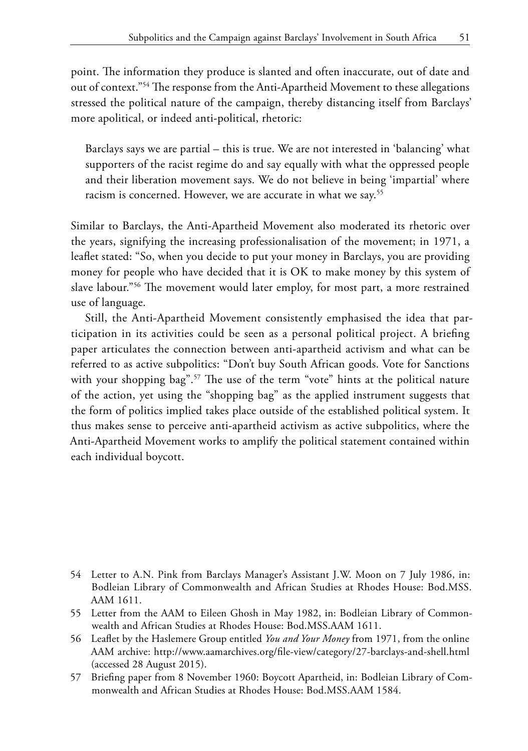point. The information they produce is slanted and often inaccurate, out of date and out of context."54 The response from the Anti-Apartheid Movement to these allegations stressed the political nature of the campaign, thereby distancing itself from Barclays' more apolitical, or indeed anti-political, rhetoric:

Barclays says we are partial – this is true. We are not interested in 'balancing' what supporters of the racist regime do and say equally with what the oppressed people and their liberation movement says. We do not believe in being 'impartial' where racism is concerned. However, we are accurate in what we say.<sup>55</sup>

Similar to Barclays, the Anti-Apartheid Movement also moderated its rhetoric over the years, signifying the increasing professionalisation of the movement; in 1971, a leaflet stated: "So, when you decide to put your money in Barclays, you are providing money for people who have decided that it is OK to make money by this system of slave labour."56 The movement would later employ, for most part, a more restrained use of language.

Still, the Anti-Apartheid Movement consistently emphasised the idea that participation in its activities could be seen as a personal political project. A briefing paper articulates the connection between anti-apartheid activism and what can be referred to as active subpolitics: "Don't buy South African goods. Vote for Sanctions with your shopping bag".<sup>57</sup> The use of the term "vote" hints at the political nature of the action, yet using the "shopping bag" as the applied instrument suggests that the form of politics implied takes place outside of the established political system. It thus makes sense to perceive anti-apartheid activism as active subpolitics, where the Anti-Apartheid Movement works to amplify the political statement contained within each individual boycott.

- 56 Leaflet by the Haslemere Group entitled *You and Your Money* from 1971, from the online AAM archive: http://www.aamarchives.org/file-view/category/27-barclays-and-shell.html (accessed 28 August 2015).
- 57 Briefing paper from 8 November 1960: Boycott Apartheid, in: Bodleian Library of Commonwealth and African Studies at Rhodes House: Bod.MSS.AAM 1584.

<sup>54</sup> Letter to A.N. Pink from Barclays Manager's Assistant J.W. Moon on 7 July 1986, in: Bodleian Library of Commonwealth and African Studies at Rhodes House: Bod.MSS. AAM 1611.

<sup>55</sup> Letter from the AAM to Eileen Ghosh in May 1982, in: Bodleian Library of Commonwealth and African Studies at Rhodes House: Bod.MSS.AAM 1611.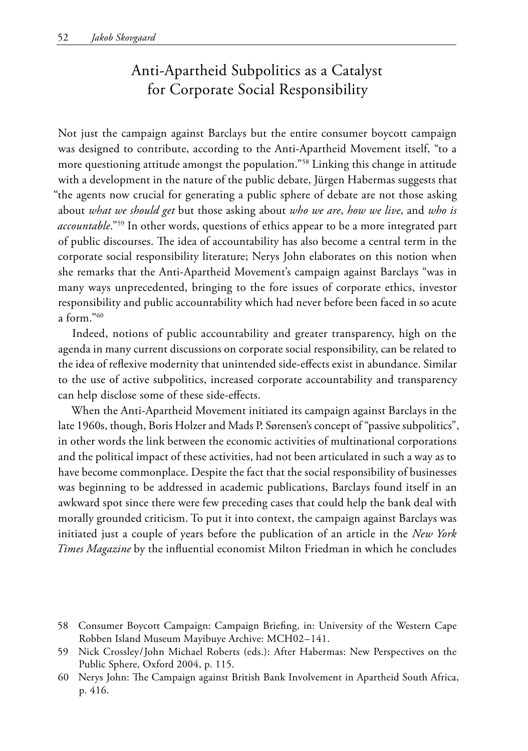# Anti-Apartheid Subpolitics as a Catalyst for Corporate Social Responsibility

Not just the campaign against Barclays but the entire consumer boycott campaign was designed to contribute, according to the Anti-Apartheid Movement itself, "to a more questioning attitude amongst the population."58 Linking this change in attitude with a development in the nature of the public debate, Jürgen Habermas suggests that "the agents now crucial for generating a public sphere of debate are not those asking about *what we should get* but those asking about *who we are*, *how we live*, and *who is accountable*."59 In other words, questions of ethics appear to be a more integrated part of public discourses. The idea of accountability has also become a central term in the corporate social responsibility literature; Nerys John elaborates on this notion when she remarks that the Anti-Apartheid Movement's campaign against Barclays "was in many ways unprecedented, bringing to the fore issues of corporate ethics, investor responsibility and public accountability which had never before been faced in so acute a form."60

Indeed, notions of public accountability and greater transparency, high on the agenda in many current discussions on corporate social responsibility, can be related to the idea of reflexive modernity that unintended side-effects exist in abundance. Similar to the use of active subpolitics, increased corporate accountability and transparency can help disclose some of these side-effects.

When the Anti-Apartheid Movement initiated its campaign against Barclays in the late 1960s, though, Boris Holzer and Mads P. Sørensen's concept of "passive subpolitics", in other words the link between the economic activities of multinational corporations and the political impact of these activities, had not been articulated in such a way as to have become commonplace. Despite the fact that the social responsibility of businesses was beginning to be addressed in academic publications, Barclays found itself in an awkward spot since there were few preceding cases that could help the bank deal with morally grounded criticism. To put it into context, the campaign against Barclays was initiated just a couple of years before the publication of an article in the *New York Times Magazine* by the influential economist Milton Friedman in which he concludes

<sup>58</sup> Consumer Boycott Campaign: Campaign Briefing, in: University of the Western Cape Robben Island Museum Mayibuye Archive: MCH02–141.

<sup>59</sup> Nick Crossley/John Michael Roberts (eds.): After Habermas: New Perspectives on the Public Sphere, Oxford 2004, p. 115.

<sup>60</sup> Nerys John: The Campaign against British Bank Involvement in Apartheid South Africa, p. 416.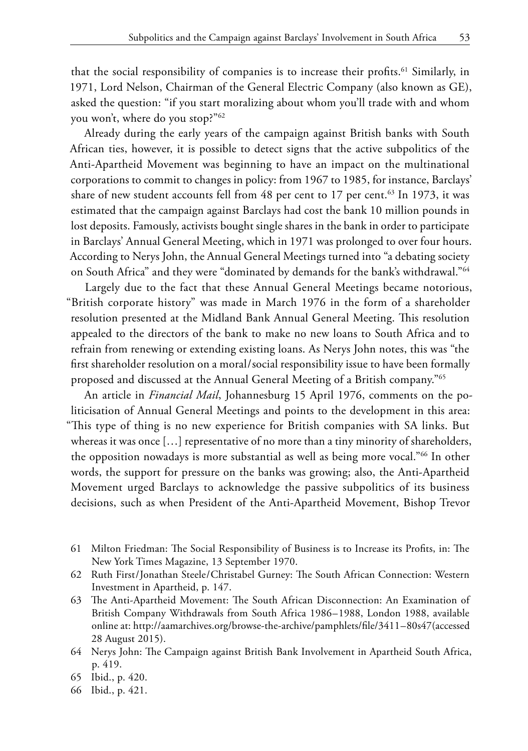that the social responsibility of companies is to increase their profits.<sup>61</sup> Similarly, in 1971, Lord Nelson, Chairman of the General Electric Company (also known as GE), asked the question: "if you start moralizing about whom you'll trade with and whom you won't, where do you stop?"62

Already during the early years of the campaign against British banks with South African ties, however, it is possible to detect signs that the active subpolitics of the Anti-Apartheid Movement was beginning to have an impact on the multinational corporations to commit to changes in policy: from 1967 to 1985, for instance, Barclays' share of new student accounts fell from 48 per cent to 17 per cent.<sup>63</sup> In 1973, it was estimated that the campaign against Barclays had cost the bank 10 million pounds in lost deposits. Famously, activists bought single shares in the bank in order to participate in Barclays' Annual General Meeting, which in 1971 was prolonged to over four hours. According to Nerys John, the Annual General Meetings turned into "a debating society on South Africa" and they were "dominated by demands for the bank's withdrawal."64

Largely due to the fact that these Annual General Meetings became notorious, "British corporate history" was made in March 1976 in the form of a shareholder resolution presented at the Midland Bank Annual General Meeting. This resolution appealed to the directors of the bank to make no new loans to South Africa and to refrain from renewing or extending existing loans. As Nerys John notes, this was "the first shareholder resolution on a moral/social responsibility issue to have been formally proposed and discussed at the Annual General Meeting of a British company."65

An article in *Financial Mail*, Johannesburg 15 April 1976, comments on the politicisation of Annual General Meetings and points to the development in this area: "This type of thing is no new experience for British companies with SA links. But whereas it was once […] representative of no more than a tiny minority of shareholders, the opposition nowadays is more substantial as well as being more vocal."66 In other words, the support for pressure on the banks was growing; also, the Anti-Apartheid Movement urged Barclays to acknowledge the passive subpolitics of its business decisions, such as when President of the Anti-Apartheid Movement, Bishop Trevor

- 61 Milton Friedman: The Social Responsibility of Business is to Increase its Profits, in: The New York Times Magazine, 13 September 1970.
- 62 Ruth First/Jonathan Steele/Christabel Gurney: The South African Connection: Western Investment in Apartheid, p. 147.
- 63 The Anti-Apartheid Movement: The South African Disconnection: An Examination of British Company Withdrawals from South Africa 1986–1988, London 1988, available online at: http://aamarchives.org/browse-the-archive/pamphlets/file/3411–80s47(accessed 28 August 2015).
- 64 Nerys John: The Campaign against British Bank Involvement in Apartheid South Africa, p. 419.
- 65 Ibid., p. 420.
- 66 Ibid., p. 421.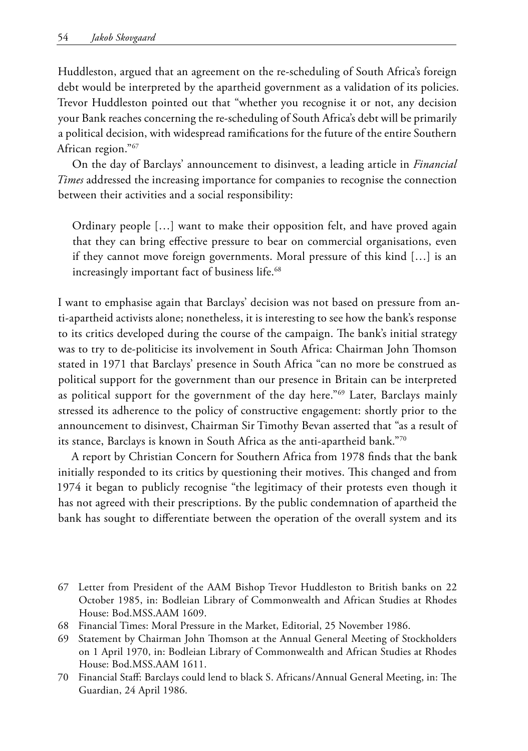Huddleston, argued that an agreement on the re-scheduling of South Africa's foreign debt would be interpreted by the apartheid government as a validation of its policies. Trevor Huddleston pointed out that "whether you recognise it or not, any decision your Bank reaches concerning the re-scheduling of South Africa's debt will be primarily a political decision, with widespread ramifications for the future of the entire Southern African region."67

On the day of Barclays' announcement to disinvest, a leading article in *Financial Times* addressed the increasing importance for companies to recognise the connection between their activities and a social responsibility:

Ordinary people […] want to make their opposition felt, and have proved again that they can bring effective pressure to bear on commercial organisations, even if they cannot move foreign governments. Moral pressure of this kind […] is an increasingly important fact of business life.<sup>68</sup>

I want to emphasise again that Barclays' decision was not based on pressure from anti-apartheid activists alone; nonetheless, it is interesting to see how the bank's response to its critics developed during the course of the campaign. The bank's initial strategy was to try to de-politicise its involvement in South Africa: Chairman John Thomson stated in 1971 that Barclays' presence in South Africa "can no more be construed as political support for the government than our presence in Britain can be interpreted as political support for the government of the day here."69 Later, Barclays mainly stressed its adherence to the policy of constructive engagement: shortly prior to the announcement to disinvest, Chairman Sir Timothy Bevan asserted that "as a result of its stance, Barclays is known in South Africa as the anti-apartheid bank."70

A report by Christian Concern for Southern Africa from 1978 finds that the bank initially responded to its critics by questioning their motives. This changed and from 1974 it began to publicly recognise "the legitimacy of their protests even though it has not agreed with their prescriptions. By the public condemnation of apartheid the bank has sought to differentiate between the operation of the overall system and its

- 67 Letter from President of the AAM Bishop Trevor Huddleston to British banks on 22 October 1985, in: Bodleian Library of Commonwealth and African Studies at Rhodes House: Bod.MSS.AAM 1609.
- 68 Financial Times: Moral Pressure in the Market, Editorial, 25 November 1986.
- 69 Statement by Chairman John Thomson at the Annual General Meeting of Stockholders on 1 April 1970, in: Bodleian Library of Commonwealth and African Studies at Rhodes House: Bod.MSS.AAM 1611.
- 70 Financial Staff: Barclays could lend to black S. Africans/Annual General Meeting, in: The Guardian, 24 April 1986.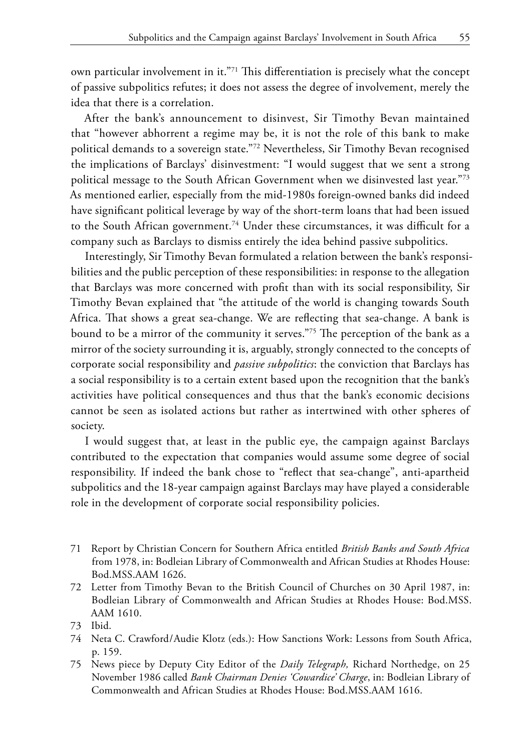own particular involvement in it."71 This differentiation is precisely what the concept of passive subpolitics refutes; it does not assess the degree of involvement, merely the idea that there is a correlation.

After the bank's announcement to disinvest, Sir Timothy Bevan maintained that "however abhorrent a regime may be, it is not the role of this bank to make political demands to a sovereign state."72 Nevertheless, Sir Timothy Bevan recognised the implications of Barclays' disinvestment: "I would suggest that we sent a strong political message to the South African Government when we disinvested last year."73 As mentioned earlier, especially from the mid-1980s foreign-owned banks did indeed have significant political leverage by way of the short-term loans that had been issued to the South African government.<sup>74</sup> Under these circumstances, it was difficult for a company such as Barclays to dismiss entirely the idea behind passive subpolitics.

Interestingly, Sir Timothy Bevan formulated a relation between the bank's responsibilities and the public perception of these responsibilities: in response to the allegation that Barclays was more concerned with profit than with its social responsibility, Sir Timothy Bevan explained that "the attitude of the world is changing towards South Africa. That shows a great sea-change. We are reflecting that sea-change. A bank is bound to be a mirror of the community it serves."75 The perception of the bank as a mirror of the society surrounding it is, arguably, strongly connected to the concepts of corporate social responsibility and *passive subpolitics*: the conviction that Barclays has a social responsibility is to a certain extent based upon the recognition that the bank's activities have political consequences and thus that the bank's economic decisions cannot be seen as isolated actions but rather as intertwined with other spheres of society.

I would suggest that, at least in the public eye, the campaign against Barclays contributed to the expectation that companies would assume some degree of social responsibility. If indeed the bank chose to "reflect that sea-change", anti-apartheid subpolitics and the 18-year campaign against Barclays may have played a considerable role in the development of corporate social responsibility policies.

- 71 Report by Christian Concern for Southern Africa entitled *British Banks and South Africa* from 1978, in: Bodleian Library of Commonwealth and African Studies at Rhodes House: Bod.MSS.AAM 1626.
- 72 Letter from Timothy Bevan to the British Council of Churches on 30 April 1987, in: Bodleian Library of Commonwealth and African Studies at Rhodes House: Bod.MSS. AAM 1610.
- 73 Ibid.
- 74 Neta C. Crawford/Audie Klotz (eds.): How Sanctions Work: Lessons from South Africa, p. 159.
- 75 News piece by Deputy City Editor of the *Daily Telegraph,* Richard Northedge, on 25 November 1986 called *Bank Chairman Denies 'Cowardice' Charge*, in: Bodleian Library of Commonwealth and African Studies at Rhodes House: Bod.MSS.AAM 1616.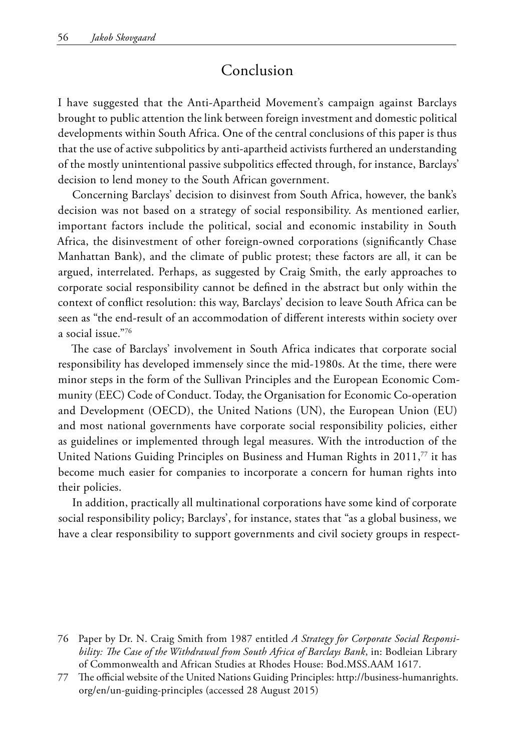## Conclusion

I have suggested that the Anti-Apartheid Movement's campaign against Barclays brought to public attention the link between foreign investment and domestic political developments within South Africa. One of the central conclusions of this paper is thus that the use of active subpolitics by anti-apartheid activists furthered an understanding of the mostly unintentional passive subpolitics effected through, for instance, Barclays' decision to lend money to the South African government.

Concerning Barclays' decision to disinvest from South Africa, however, the bank's decision was not based on a strategy of social responsibility. As mentioned earlier, important factors include the political, social and economic instability in South Africa, the disinvestment of other foreign-owned corporations (significantly Chase Manhattan Bank), and the climate of public protest; these factors are all, it can be argued, interrelated. Perhaps, as suggested by Craig Smith, the early approaches to corporate social responsibility cannot be defined in the abstract but only within the context of conflict resolution: this way, Barclays' decision to leave South Africa can be seen as "the end-result of an accommodation of different interests within society over a social issue."76

The case of Barclays' involvement in South Africa indicates that corporate social responsibility has developed immensely since the mid-1980s. At the time, there were minor steps in the form of the Sullivan Principles and the European Economic Community (EEC) Code of Conduct. Today, the Organisation for Economic Co-operation and Development (OECD), the United Nations (UN), the European Union (EU) and most national governments have corporate social responsibility policies, either as guidelines or implemented through legal measures. With the introduction of the United Nations Guiding Principles on Business and Human Rights in 2011,<sup>77</sup> it has become much easier for companies to incorporate a concern for human rights into their policies.

In addition, practically all multinational corporations have some kind of corporate social responsibility policy; Barclays', for instance, states that "as a global business, we have a clear responsibility to support governments and civil society groups in respect-

<sup>76</sup> Paper by Dr. N. Craig Smith from 1987 entitled *A Strategy for Corporate Social Responsibility: The Case of the Withdrawal from South Africa of Barclays Bank*, in: Bodleian Library of Commonwealth and African Studies at Rhodes House: Bod.MSS.AAM 1617.

<sup>77</sup> The official website of the United Nations Guiding Principles: http://business-humanrights. org/en/un-guiding-principles (accessed 28 August 2015)